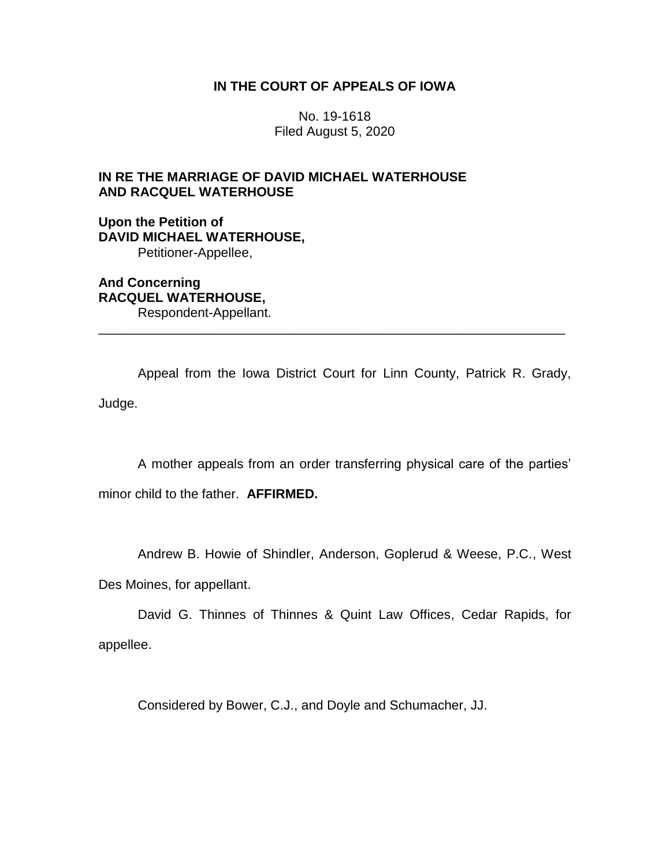# **IN THE COURT OF APPEALS OF IOWA**

No. 19-1618 Filed August 5, 2020

# **IN RE THE MARRIAGE OF DAVID MICHAEL WATERHOUSE AND RACQUEL WATERHOUSE**

**Upon the Petition of DAVID MICHAEL WATERHOUSE,** Petitioner-Appellee,

**And Concerning RACQUEL WATERHOUSE,** Respondent-Appellant.

Appeal from the Iowa District Court for Linn County, Patrick R. Grady, Judge.

\_\_\_\_\_\_\_\_\_\_\_\_\_\_\_\_\_\_\_\_\_\_\_\_\_\_\_\_\_\_\_\_\_\_\_\_\_\_\_\_\_\_\_\_\_\_\_\_\_\_\_\_\_\_\_\_\_\_\_\_\_\_\_\_

A mother appeals from an order transferring physical care of the parties' minor child to the father. **AFFIRMED.**

Andrew B. Howie of Shindler, Anderson, Goplerud & Weese, P.C., West

Des Moines, for appellant.

David G. Thinnes of Thinnes & Quint Law Offices, Cedar Rapids, for appellee.

Considered by Bower, C.J., and Doyle and Schumacher, JJ.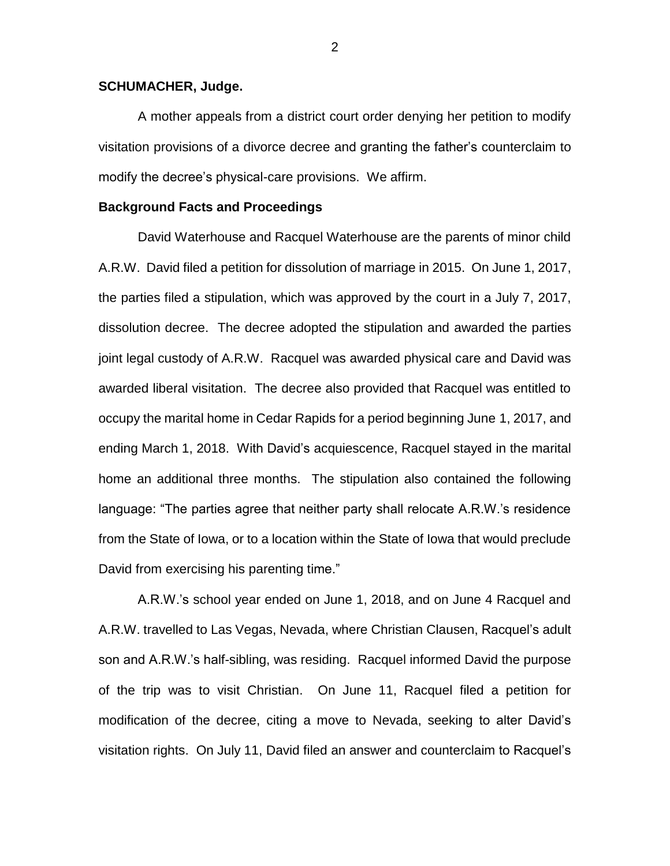### **SCHUMACHER, Judge.**

A mother appeals from a district court order denying her petition to modify visitation provisions of a divorce decree and granting the father's counterclaim to modify the decree's physical-care provisions. We affirm.

### **Background Facts and Proceedings**

David Waterhouse and Racquel Waterhouse are the parents of minor child A.R.W. David filed a petition for dissolution of marriage in 2015. On June 1, 2017, the parties filed a stipulation, which was approved by the court in a July 7, 2017, dissolution decree. The decree adopted the stipulation and awarded the parties joint legal custody of A.R.W. Racquel was awarded physical care and David was awarded liberal visitation. The decree also provided that Racquel was entitled to occupy the marital home in Cedar Rapids for a period beginning June 1, 2017, and ending March 1, 2018. With David's acquiescence, Racquel stayed in the marital home an additional three months. The stipulation also contained the following language: "The parties agree that neither party shall relocate A.R.W.'s residence from the State of Iowa, or to a location within the State of Iowa that would preclude David from exercising his parenting time."

A.R.W.'s school year ended on June 1, 2018, and on June 4 Racquel and A.R.W. travelled to Las Vegas, Nevada, where Christian Clausen, Racquel's adult son and A.R.W.'s half-sibling, was residing. Racquel informed David the purpose of the trip was to visit Christian. On June 11, Racquel filed a petition for modification of the decree, citing a move to Nevada, seeking to alter David's visitation rights. On July 11, David filed an answer and counterclaim to Racquel's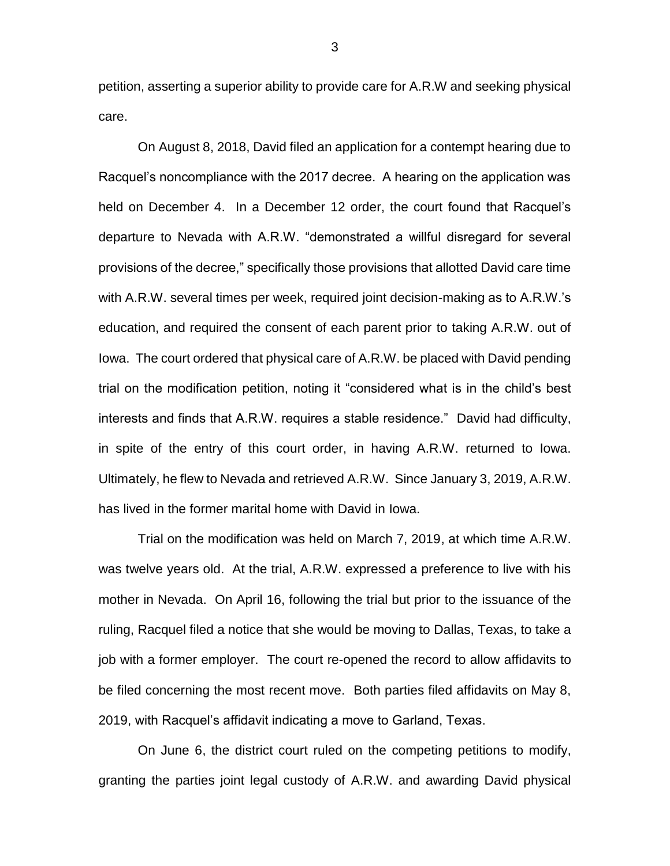petition, asserting a superior ability to provide care for A.R.W and seeking physical care.

On August 8, 2018, David filed an application for a contempt hearing due to Racquel's noncompliance with the 2017 decree. A hearing on the application was held on December 4. In a December 12 order, the court found that Racquel's departure to Nevada with A.R.W. "demonstrated a willful disregard for several provisions of the decree," specifically those provisions that allotted David care time with A.R.W. several times per week, required joint decision-making as to A.R.W.'s education, and required the consent of each parent prior to taking A.R.W. out of Iowa. The court ordered that physical care of A.R.W. be placed with David pending trial on the modification petition, noting it "considered what is in the child's best interests and finds that A.R.W. requires a stable residence." David had difficulty, in spite of the entry of this court order, in having A.R.W. returned to Iowa. Ultimately, he flew to Nevada and retrieved A.R.W. Since January 3, 2019, A.R.W. has lived in the former marital home with David in Iowa.

Trial on the modification was held on March 7, 2019, at which time A.R.W. was twelve years old. At the trial, A.R.W. expressed a preference to live with his mother in Nevada. On April 16, following the trial but prior to the issuance of the ruling, Racquel filed a notice that she would be moving to Dallas, Texas, to take a job with a former employer. The court re-opened the record to allow affidavits to be filed concerning the most recent move. Both parties filed affidavits on May 8, 2019, with Racquel's affidavit indicating a move to Garland, Texas.

On June 6, the district court ruled on the competing petitions to modify, granting the parties joint legal custody of A.R.W. and awarding David physical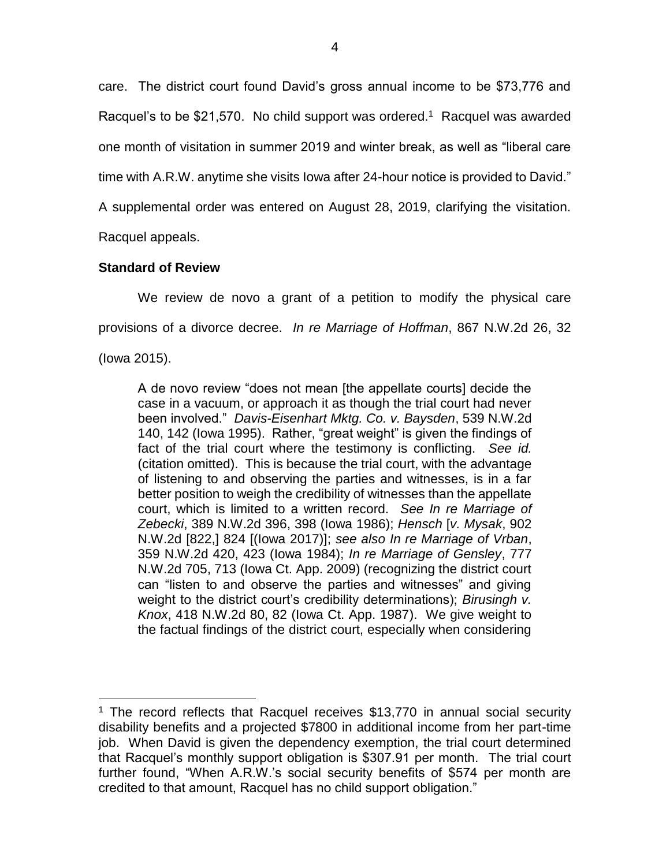care. The district court found David's gross annual income to be \$73,776 and Racquel's to be \$21,570. No child support was ordered.<sup>1</sup> Racquel was awarded one month of visitation in summer 2019 and winter break, as well as "liberal care time with A.R.W. anytime she visits Iowa after 24-hour notice is provided to David." A supplemental order was entered on August 28, 2019, clarifying the visitation. Racquel appeals.

## **Standard of Review**

We review de novo a grant of a petition to modify the physical care provisions of a divorce decree. *In re Marriage of Hoffman*, 867 N.W.2d 26, 32

(Iowa 2015).

 $\overline{a}$ 

A de novo review "does not mean [the appellate courts] decide the case in a vacuum, or approach it as though the trial court had never been involved." *Davis-Eisenhart Mktg. Co. v. Baysden*, 539 N.W.2d 140, 142 (Iowa 1995). Rather, "great weight" is given the findings of fact of the trial court where the testimony is conflicting. *See id.* (citation omitted). This is because the trial court, with the advantage of listening to and observing the parties and witnesses, is in a far better position to weigh the credibility of witnesses than the appellate court, which is limited to a written record. *See In re Marriage of Zebecki*, 389 N.W.2d 396, 398 (Iowa 1986); *Hensch* [*v. Mysak*, 902 N.W.2d [822,] 824 [(Iowa 2017)]; *see also In re Marriage of Vrban*, 359 N.W.2d 420, 423 (Iowa 1984); *In re Marriage of Gensley*, 777 N.W.2d 705, 713 (Iowa Ct. App. 2009) (recognizing the district court can "listen to and observe the parties and witnesses" and giving weight to the district court's credibility determinations); *Birusingh v. Knox*, 418 N.W.2d 80, 82 (Iowa Ct. App. 1987). We give weight to the factual findings of the district court, especially when considering

<sup>&</sup>lt;sup>1</sup> The record reflects that Racquel receives \$13,770 in annual social security disability benefits and a projected \$7800 in additional income from her part-time job. When David is given the dependency exemption, the trial court determined that Racquel's monthly support obligation is \$307.91 per month. The trial court further found, "When A.R.W.'s social security benefits of \$574 per month are credited to that amount, Racquel has no child support obligation."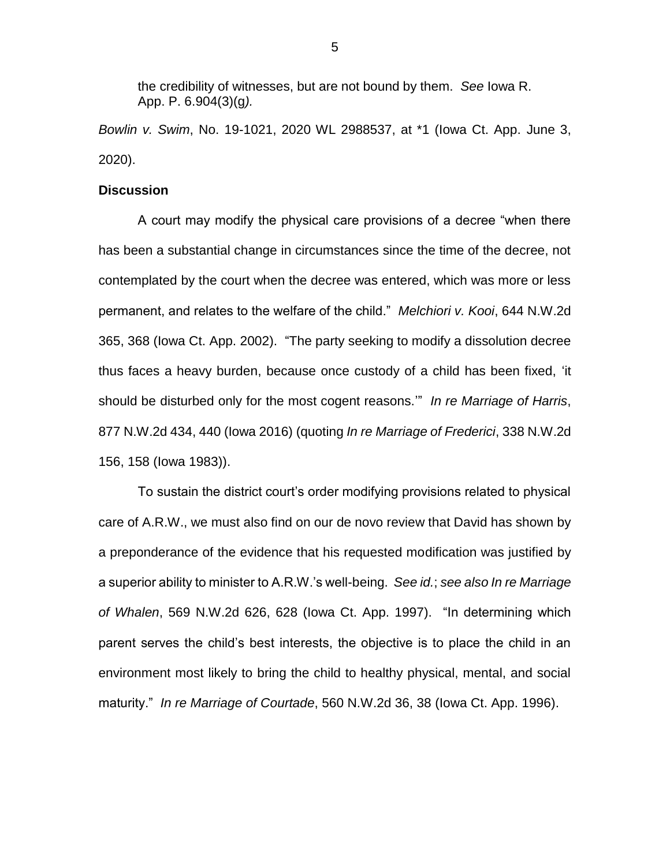the credibility of witnesses, but are not bound by them. *See* Iowa R. App. P. 6.904(3)(g*).* 

*Bowlin v. Swim*, No. 19-1021, 2020 WL 2988537, at \*1 (Iowa Ct. App. June 3, 2020).

#### **Discussion**

A court may modify the physical care provisions of a decree "when there has been a substantial change in circumstances since the time of the decree, not contemplated by the court when the decree was entered, which was more or less permanent, and relates to the welfare of the child." *Melchiori v. Kooi*, 644 N.W.2d 365, 368 (Iowa Ct. App. 2002). "The party seeking to modify a dissolution decree thus faces a heavy burden, because once custody of a child has been fixed, 'it should be disturbed only for the most cogent reasons.'" *In re Marriage of Harris*, 877 N.W.2d 434, 440 (Iowa 2016) (quoting *In re Marriage of Frederici*, 338 N.W.2d 156, 158 (Iowa 1983)).

To sustain the district court's order modifying provisions related to physical care of A.R.W., we must also find on our de novo review that David has shown by a preponderance of the evidence that his requested modification was justified by a superior ability to minister to A.R.W.'s well-being. *See id.*; *see also In re Marriage of Whalen*, 569 N.W.2d 626, 628 (Iowa Ct. App. 1997). "In determining which parent serves the child's best interests, the objective is to place the child in an environment most likely to bring the child to healthy physical, mental, and social maturity." *In re Marriage of Courtade*, 560 N.W.2d 36, 38 (Iowa Ct. App. 1996).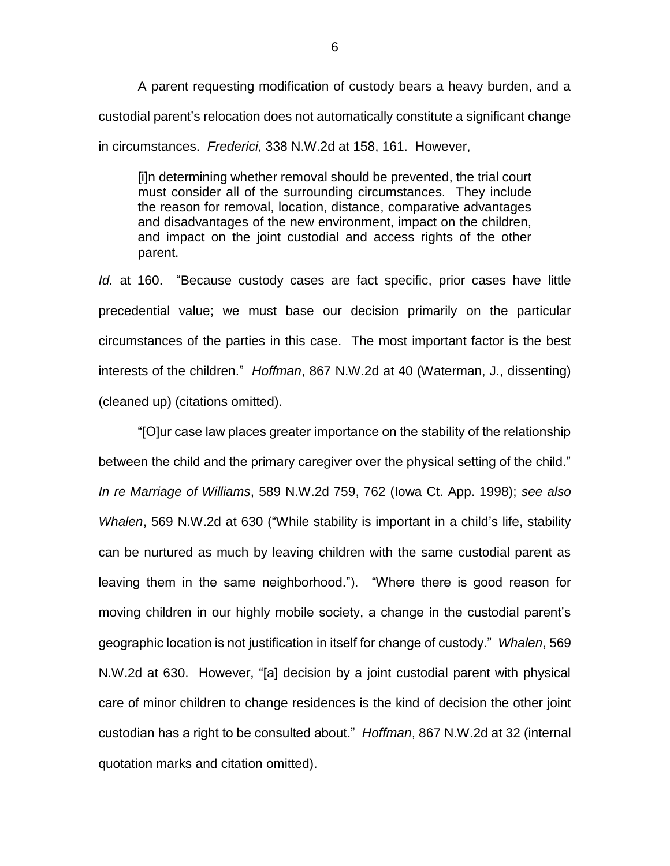A parent requesting modification of custody bears a heavy burden, and a custodial parent's relocation does not automatically constitute a significant change in circumstances. *Frederici,* 338 N.W.2d at 158, 161. However,

[i]n determining whether removal should be prevented, the trial court must consider all of the surrounding circumstances. They include the reason for removal, location, distance, comparative advantages and disadvantages of the new environment, impact on the children, and impact on the joint custodial and access rights of the other parent.

*Id.* at 160. "Because custody cases are fact specific, prior cases have little precedential value; we must base our decision primarily on the particular circumstances of the parties in this case. The most important factor is the best interests of the children." *Hoffman*, 867 N.W.2d at 40 (Waterman, J., dissenting) (cleaned up) (citations omitted).

"[O]ur case law places greater importance on the stability of the relationship between the child and the primary caregiver over the physical setting of the child." *In re Marriage of Williams*, 589 N.W.2d 759, 762 (Iowa Ct. App. 1998); *see also Whalen*, 569 N.W.2d at 630 ("While stability is important in a child's life, stability can be nurtured as much by leaving children with the same custodial parent as leaving them in the same neighborhood."). "Where there is good reason for moving children in our highly mobile society, a change in the custodial parent's geographic location is not justification in itself for change of custody." *Whalen*, 569 N.W.2d at 630.However, "[a] decision by a joint custodial parent with physical care of minor children to change residences is the kind of decision the other joint custodian has a right to be consulted about." *Hoffman*, 867 N.W.2d at 32 (internal quotation marks and citation omitted).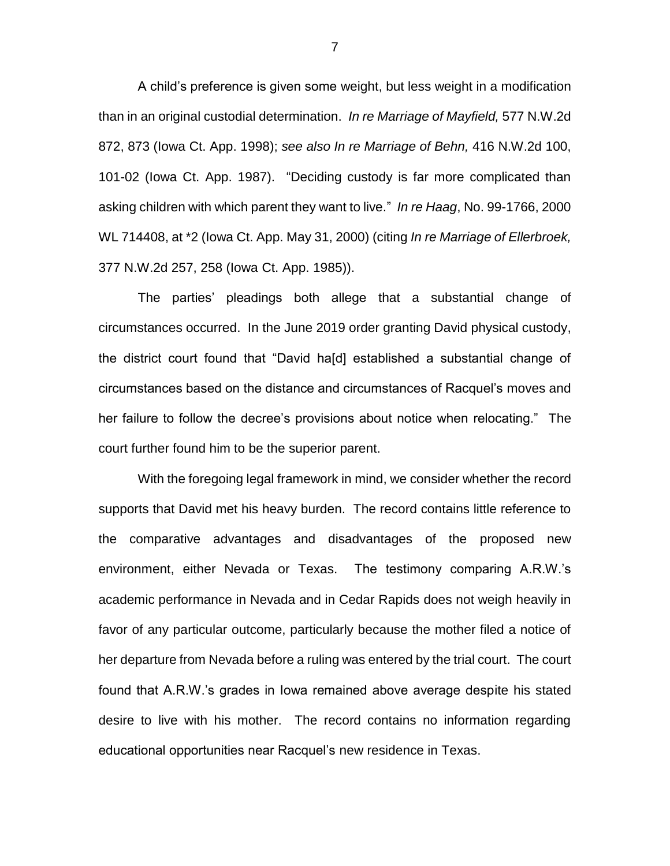A child's preference is given some weight, but less weight in a modification than in an original custodial determination. *In re Marriage of Mayfield,* 577 N.W.2d 872, 873 (Iowa Ct. App. 1998); *see also In re Marriage of Behn,* 416 N.W.2d 100, 101-02 (Iowa Ct. App. 1987). "Deciding custody is far more complicated than asking children with which parent they want to live." *In re Haag*, No. 99-1766, 2000 WL 714408, at \*2 (Iowa Ct. App. May 31, 2000) (citing *In re Marriage of Ellerbroek,* 377 N.W.2d 257, 258 (Iowa Ct. App. 1985)).

The parties' pleadings both allege that a substantial change of circumstances occurred. In the June 2019 order granting David physical custody, the district court found that "David ha[d] established a substantial change of circumstances based on the distance and circumstances of Racquel's moves and her failure to follow the decree's provisions about notice when relocating." The court further found him to be the superior parent.

With the foregoing legal framework in mind, we consider whether the record supports that David met his heavy burden. The record contains little reference to the comparative advantages and disadvantages of the proposed new environment, either Nevada or Texas. The testimony comparing A.R.W.'s academic performance in Nevada and in Cedar Rapids does not weigh heavily in favor of any particular outcome, particularly because the mother filed a notice of her departure from Nevada before a ruling was entered by the trial court. The court found that A.R.W.'s grades in Iowa remained above average despite his stated desire to live with his mother. The record contains no information regarding educational opportunities near Racquel's new residence in Texas.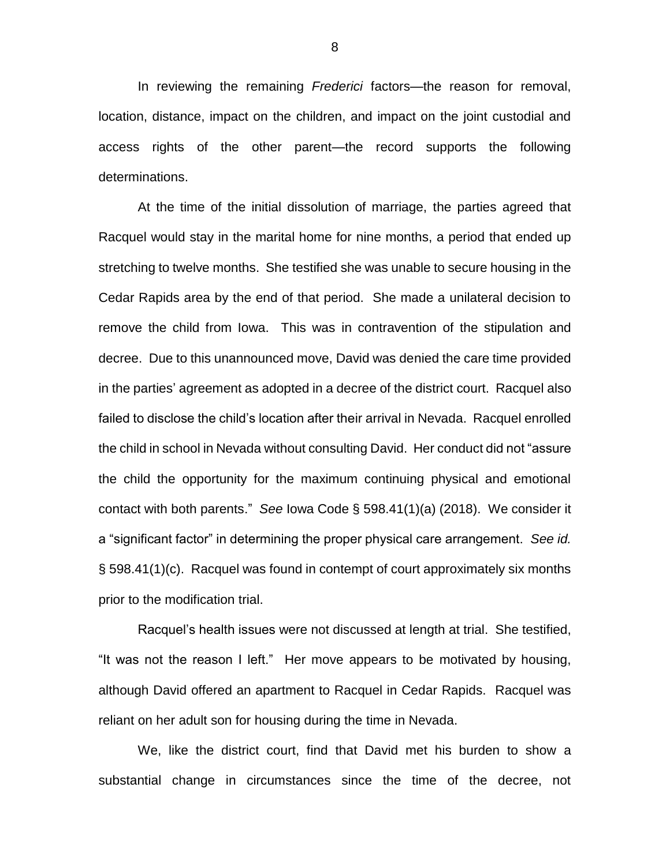In reviewing the remaining *Frederici* factors—the reason for removal, location, distance, impact on the children, and impact on the joint custodial and access rights of the other parent—the record supports the following determinations.

At the time of the initial dissolution of marriage, the parties agreed that Racquel would stay in the marital home for nine months, a period that ended up stretching to twelve months. She testified she was unable to secure housing in the Cedar Rapids area by the end of that period. She made a unilateral decision to remove the child from Iowa. This was in contravention of the stipulation and decree. Due to this unannounced move, David was denied the care time provided in the parties' agreement as adopted in a decree of the district court. Racquel also failed to disclose the child's location after their arrival in Nevada. Racquel enrolled the child in school in Nevada without consulting David. Her conduct did not "assure the child the opportunity for the maximum continuing physical and emotional contact with both parents." *See* Iowa Code § 598.41(1)(a) (2018). We consider it a "significant factor" in determining the proper physical care arrangement. *See id.*  § 598.41(1)(c). Racquel was found in contempt of court approximately six months prior to the modification trial.

Racquel's health issues were not discussed at length at trial. She testified, "It was not the reason I left." Her move appears to be motivated by housing, although David offered an apartment to Racquel in Cedar Rapids. Racquel was reliant on her adult son for housing during the time in Nevada.

We, like the district court, find that David met his burden to show a substantial change in circumstances since the time of the decree, not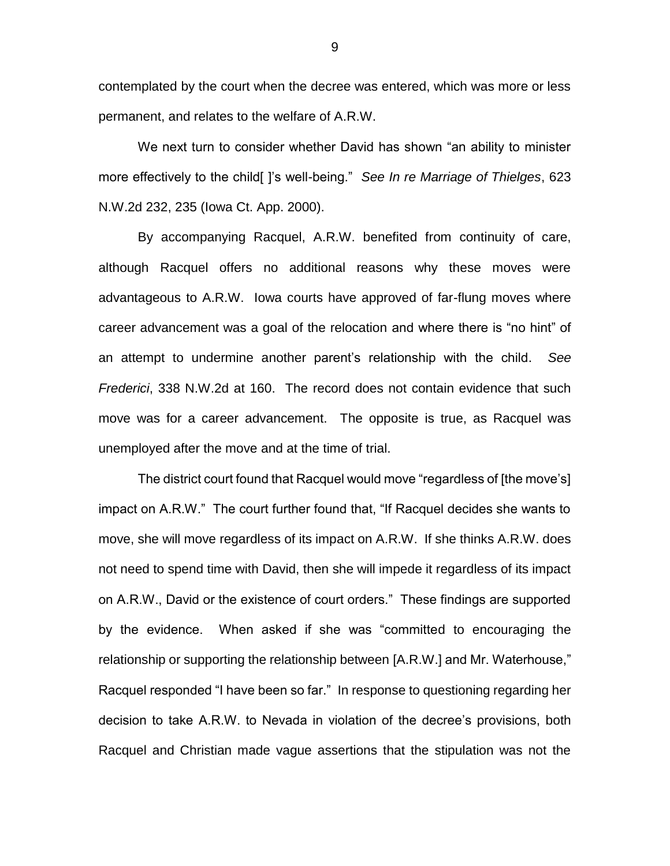contemplated by the court when the decree was entered, which was more or less permanent, and relates to the welfare of A.R.W.

We next turn to consider whether David has shown "an ability to minister more effectively to the child[ ]'s well-being." *See In re Marriage of Thielges*, 623 N.W.2d 232, 235 (Iowa Ct. App. 2000).

By accompanying Racquel, A.R.W. benefited from continuity of care, although Racquel offers no additional reasons why these moves were advantageous to A.R.W. Iowa courts have approved of far-flung moves where career advancement was a goal of the relocation and where there is "no hint" of an attempt to undermine another parent's relationship with the child. *See Frederici*, 338 N.W.2d at 160. The record does not contain evidence that such move was for a career advancement. The opposite is true, as Racquel was unemployed after the move and at the time of trial.

The district court found that Racquel would move "regardless of [the move's] impact on A.R.W." The court further found that, "If Racquel decides she wants to move, she will move regardless of its impact on A.R.W. If she thinks A.R.W. does not need to spend time with David, then she will impede it regardless of its impact on A.R.W., David or the existence of court orders." These findings are supported by the evidence. When asked if she was "committed to encouraging the relationship or supporting the relationship between [A.R.W.] and Mr. Waterhouse," Racquel responded "I have been so far." In response to questioning regarding her decision to take A.R.W. to Nevada in violation of the decree's provisions, both Racquel and Christian made vague assertions that the stipulation was not the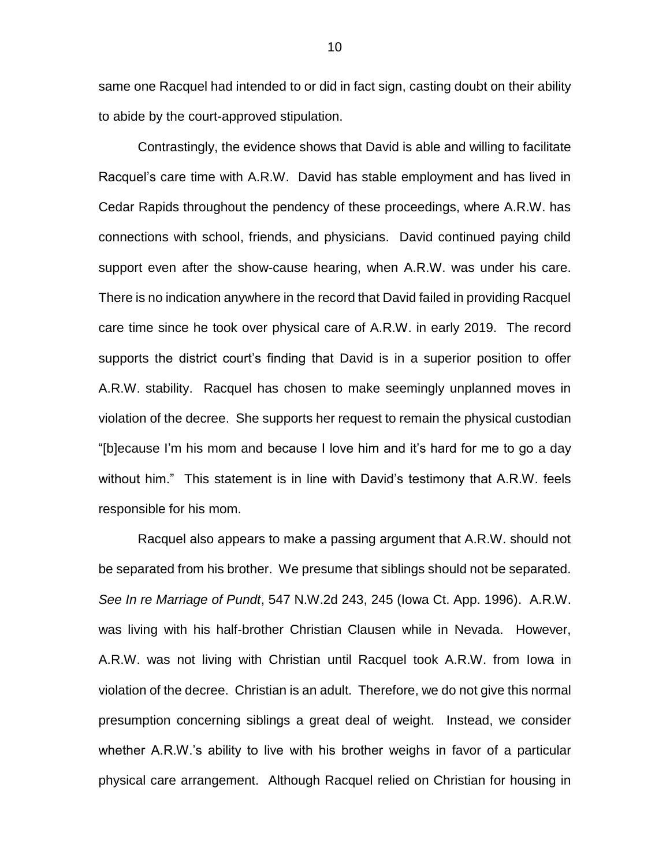same one Racquel had intended to or did in fact sign, casting doubt on their ability to abide by the court-approved stipulation.

Contrastingly, the evidence shows that David is able and willing to facilitate Racquel's care time with A.R.W. David has stable employment and has lived in Cedar Rapids throughout the pendency of these proceedings, where A.R.W. has connections with school, friends, and physicians. David continued paying child support even after the show-cause hearing, when A.R.W. was under his care. There is no indication anywhere in the record that David failed in providing Racquel care time since he took over physical care of A.R.W. in early 2019. The record supports the district court's finding that David is in a superior position to offer A.R.W. stability. Racquel has chosen to make seemingly unplanned moves in violation of the decree. She supports her request to remain the physical custodian "[b]ecause I'm his mom and because I love him and it's hard for me to go a day without him." This statement is in line with David's testimony that A.R.W. feels responsible for his mom.

Racquel also appears to make a passing argument that A.R.W. should not be separated from his brother. We presume that siblings should not be separated. *See In re Marriage of Pundt*, 547 N.W.2d 243, 245 (Iowa Ct. App. 1996). A.R.W. was living with his half-brother Christian Clausen while in Nevada. However, A.R.W. was not living with Christian until Racquel took A.R.W. from Iowa in violation of the decree. Christian is an adult. Therefore, we do not give this normal presumption concerning siblings a great deal of weight. Instead, we consider whether A.R.W.'s ability to live with his brother weighs in favor of a particular physical care arrangement. Although Racquel relied on Christian for housing in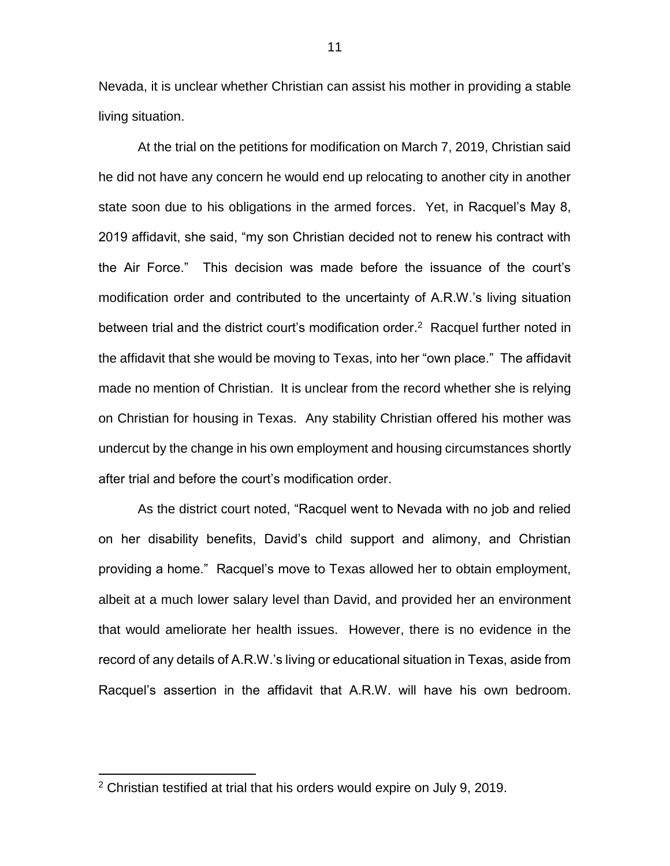Nevada, it is unclear whether Christian can assist his mother in providing a stable living situation.

At the trial on the petitions for modification on March 7, 2019, Christian said he did not have any concern he would end up relocating to another city in another state soon due to his obligations in the armed forces. Yet, in Racquel's May 8, 2019 affidavit, she said, "my son Christian decided not to renew his contract with the Air Force." This decision was made before the issuance of the court's modification order and contributed to the uncertainty of A.R.W.'s living situation between trial and the district court's modification order.<sup>2</sup> Racquel further noted in the affidavit that she would be moving to Texas, into her "own place." The affidavit made no mention of Christian. It is unclear from the record whether she is relying on Christian for housing in Texas. Any stability Christian offered his mother was undercut by the change in his own employment and housing circumstances shortly after trial and before the court's modification order.

As the district court noted, "Racquel went to Nevada with no job and relied on her disability benefits, David's child support and alimony, and Christian providing a home." Racquel's move to Texas allowed her to obtain employment, albeit at a much lower salary level than David, and provided her an environment that would ameliorate her health issues. However, there is no evidence in the record of any details of A.R.W.'s living or educational situation in Texas, aside from Racquel's assertion in the affidavit that A.R.W. will have his own bedroom.

 $\overline{a}$ 

<sup>2</sup> Christian testified at trial that his orders would expire on July 9, 2019.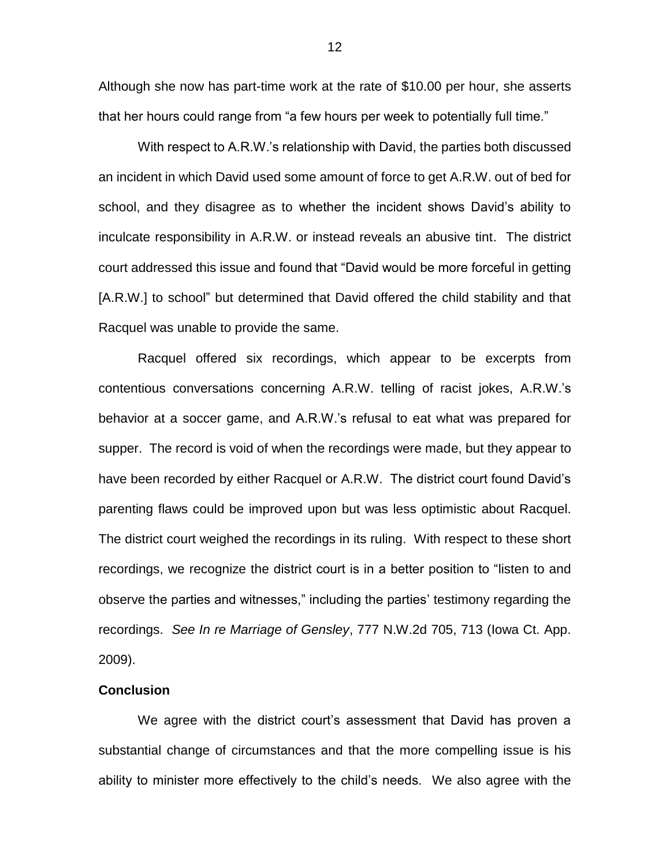Although she now has part-time work at the rate of \$10.00 per hour, she asserts that her hours could range from "a few hours per week to potentially full time."

With respect to A.R.W.'s relationship with David, the parties both discussed an incident in which David used some amount of force to get A.R.W. out of bed for school, and they disagree as to whether the incident shows David's ability to inculcate responsibility in A.R.W. or instead reveals an abusive tint. The district court addressed this issue and found that "David would be more forceful in getting [A.R.W.] to school" but determined that David offered the child stability and that Racquel was unable to provide the same.

Racquel offered six recordings, which appear to be excerpts from contentious conversations concerning A.R.W. telling of racist jokes, A.R.W.'s behavior at a soccer game, and A.R.W.'s refusal to eat what was prepared for supper. The record is void of when the recordings were made, but they appear to have been recorded by either Racquel or A.R.W. The district court found David's parenting flaws could be improved upon but was less optimistic about Racquel. The district court weighed the recordings in its ruling. With respect to these short recordings, we recognize the district court is in a better position to "listen to and observe the parties and witnesses," including the parties' testimony regarding the recordings. *See In re Marriage of Gensley*, 777 N.W.2d 705, 713 (Iowa Ct. App. 2009).

### **Conclusion**

We agree with the district court's assessment that David has proven a substantial change of circumstances and that the more compelling issue is his ability to minister more effectively to the child's needs. We also agree with the